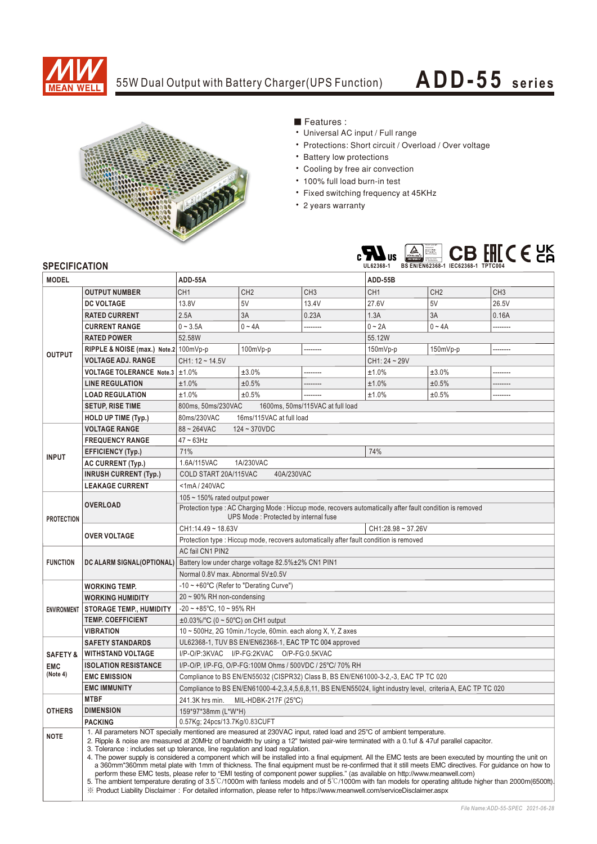

## 55W Dual Output with Battery Charger(UPS Function)

# **ADD-55 seri es**



### ■ Features :

- Universal AC input / Full range
- Protections: Short circuit / Overload / Over voltage
- Battery low protections
- Cooling by free air convection
- 100% full load burn-in test
- Fixed switching frequency at 45KHz
- 2 years warranty



#### **SPECIFICATION**

| <b>MODEL</b>           |                                                                                                                                                                                                                                                                                                                                                                                                                                                                                                                                                                                                                                                                                                                                                                                                                                                                                                                                                                                                                                                                                                 | ADD-55A                                                                                                                                                          |                 |                 | ADD-55B         |                 |                 |
|------------------------|-------------------------------------------------------------------------------------------------------------------------------------------------------------------------------------------------------------------------------------------------------------------------------------------------------------------------------------------------------------------------------------------------------------------------------------------------------------------------------------------------------------------------------------------------------------------------------------------------------------------------------------------------------------------------------------------------------------------------------------------------------------------------------------------------------------------------------------------------------------------------------------------------------------------------------------------------------------------------------------------------------------------------------------------------------------------------------------------------|------------------------------------------------------------------------------------------------------------------------------------------------------------------|-----------------|-----------------|-----------------|-----------------|-----------------|
|                        | <b>OUTPUT NUMBER</b>                                                                                                                                                                                                                                                                                                                                                                                                                                                                                                                                                                                                                                                                                                                                                                                                                                                                                                                                                                                                                                                                            | CH <sub>1</sub>                                                                                                                                                  | CH <sub>2</sub> | CH <sub>3</sub> | CH <sub>1</sub> | CH <sub>2</sub> | CH <sub>3</sub> |
|                        | <b>DC VOLTAGE</b>                                                                                                                                                                                                                                                                                                                                                                                                                                                                                                                                                                                                                                                                                                                                                                                                                                                                                                                                                                                                                                                                               | 13.8V                                                                                                                                                            | 5V              | 13.4V           | 27.6V           | 5V              | 26.5V           |
|                        | <b>RATED CURRENT</b>                                                                                                                                                                                                                                                                                                                                                                                                                                                                                                                                                                                                                                                                                                                                                                                                                                                                                                                                                                                                                                                                            | 2.5A                                                                                                                                                             | 3A              | 0.23A           | 1.3A            | 3A              | 0.16A           |
|                        | <b>CURRENT RANGE</b>                                                                                                                                                                                                                                                                                                                                                                                                                                                                                                                                                                                                                                                                                                                                                                                                                                                                                                                                                                                                                                                                            | $0 - 3.5A$                                                                                                                                                       | $0 - 4A$        |                 | $0 - 2A$        | $0 - 4A$        | .               |
|                        | <b>RATED POWER</b>                                                                                                                                                                                                                                                                                                                                                                                                                                                                                                                                                                                                                                                                                                                                                                                                                                                                                                                                                                                                                                                                              | 52.58W                                                                                                                                                           |                 |                 | 55.12W          |                 |                 |
|                        | RIPPLE & NOISE (max.) Note.2 100mVp-p                                                                                                                                                                                                                                                                                                                                                                                                                                                                                                                                                                                                                                                                                                                                                                                                                                                                                                                                                                                                                                                           |                                                                                                                                                                  | 100mVp-p        |                 | $150mVp-p$      | 150mVp-p        |                 |
| <b>OUTPUT</b>          | <b>VOLTAGE ADJ. RANGE</b>                                                                                                                                                                                                                                                                                                                                                                                                                                                                                                                                                                                                                                                                                                                                                                                                                                                                                                                                                                                                                                                                       | $CH1: 12 - 14.5V$                                                                                                                                                |                 |                 | CH1: 24 ~ 29V   |                 |                 |
|                        | VOLTAGE TOLERANCE Note.3 ±1.0%                                                                                                                                                                                                                                                                                                                                                                                                                                                                                                                                                                                                                                                                                                                                                                                                                                                                                                                                                                                                                                                                  |                                                                                                                                                                  | ±3.0%           | --------        | ±1.0%           | ±3.0%           | --------        |
|                        | <b>LINE REGULATION</b>                                                                                                                                                                                                                                                                                                                                                                                                                                                                                                                                                                                                                                                                                                                                                                                                                                                                                                                                                                                                                                                                          | ±1.0%                                                                                                                                                            | ±0.5%           |                 | ±1.0%           | ±0.5%           | --------        |
|                        | <b>LOAD REGULATION</b>                                                                                                                                                                                                                                                                                                                                                                                                                                                                                                                                                                                                                                                                                                                                                                                                                                                                                                                                                                                                                                                                          | ±1.0%                                                                                                                                                            | ±0.5%           |                 | ±1.0%           | ±0.5%           | --------        |
|                        | <b>SETUP, RISE TIME</b>                                                                                                                                                                                                                                                                                                                                                                                                                                                                                                                                                                                                                                                                                                                                                                                                                                                                                                                                                                                                                                                                         | 800ms, 50ms/230VAC<br>1600ms. 50ms/115VAC at full load                                                                                                           |                 |                 |                 |                 |                 |
|                        | HOLD UP TIME (Typ.)                                                                                                                                                                                                                                                                                                                                                                                                                                                                                                                                                                                                                                                                                                                                                                                                                                                                                                                                                                                                                                                                             | 16ms/115VAC at full load<br>80ms/230VAC                                                                                                                          |                 |                 |                 |                 |                 |
|                        | <b>VOLTAGE RANGE</b>                                                                                                                                                                                                                                                                                                                                                                                                                                                                                                                                                                                                                                                                                                                                                                                                                                                                                                                                                                                                                                                                            | $88 - 264$ VAC<br>$124 - 370VDC$                                                                                                                                 |                 |                 |                 |                 |                 |
| <b>INPUT</b>           | <b>FREQUENCY RANGE</b>                                                                                                                                                                                                                                                                                                                                                                                                                                                                                                                                                                                                                                                                                                                                                                                                                                                                                                                                                                                                                                                                          | $47 \sim 63$ Hz                                                                                                                                                  |                 |                 |                 |                 |                 |
|                        | <b>EFFICIENCY (Typ.)</b>                                                                                                                                                                                                                                                                                                                                                                                                                                                                                                                                                                                                                                                                                                                                                                                                                                                                                                                                                                                                                                                                        | 71%<br>74%                                                                                                                                                       |                 |                 |                 |                 |                 |
|                        | <b>AC CURRENT (Typ.)</b>                                                                                                                                                                                                                                                                                                                                                                                                                                                                                                                                                                                                                                                                                                                                                                                                                                                                                                                                                                                                                                                                        | 1.6A/115VAC<br>1A/230VAC                                                                                                                                         |                 |                 |                 |                 |                 |
|                        | <b>INRUSH CURRENT (Typ.)</b>                                                                                                                                                                                                                                                                                                                                                                                                                                                                                                                                                                                                                                                                                                                                                                                                                                                                                                                                                                                                                                                                    | COLD START 20A/115VAC<br>40A/230VAC                                                                                                                              |                 |                 |                 |                 |                 |
|                        | <b>LEAKAGE CURRENT</b>                                                                                                                                                                                                                                                                                                                                                                                                                                                                                                                                                                                                                                                                                                                                                                                                                                                                                                                                                                                                                                                                          | $<$ 1mA $/$ 240VAC                                                                                                                                               |                 |                 |                 |                 |                 |
| <b>PROTECTION</b>      | <b>OVERLOAD</b>                                                                                                                                                                                                                                                                                                                                                                                                                                                                                                                                                                                                                                                                                                                                                                                                                                                                                                                                                                                                                                                                                 | 105 $\sim$ 150% rated output power                                                                                                                               |                 |                 |                 |                 |                 |
|                        |                                                                                                                                                                                                                                                                                                                                                                                                                                                                                                                                                                                                                                                                                                                                                                                                                                                                                                                                                                                                                                                                                                 | Protection type : AC Charging Mode : Hiccup mode, recovers automatically after fault condition is removed                                                        |                 |                 |                 |                 |                 |
|                        |                                                                                                                                                                                                                                                                                                                                                                                                                                                                                                                                                                                                                                                                                                                                                                                                                                                                                                                                                                                                                                                                                                 | UPS Mode: Protected by internal fuse                                                                                                                             |                 |                 |                 |                 |                 |
|                        | <b>OVER VOLTAGE</b>                                                                                                                                                                                                                                                                                                                                                                                                                                                                                                                                                                                                                                                                                                                                                                                                                                                                                                                                                                                                                                                                             | CH1:14.49~18.63V<br>$CH1:28.98 \sim 37.26V$                                                                                                                      |                 |                 |                 |                 |                 |
|                        |                                                                                                                                                                                                                                                                                                                                                                                                                                                                                                                                                                                                                                                                                                                                                                                                                                                                                                                                                                                                                                                                                                 | Protection type : Hiccup mode, recovers automatically after fault condition is removed                                                                           |                 |                 |                 |                 |                 |
| <b>FUNCTION</b>        | DC ALARM SIGNAL(OPTIONAL)                                                                                                                                                                                                                                                                                                                                                                                                                                                                                                                                                                                                                                                                                                                                                                                                                                                                                                                                                                                                                                                                       | AC fail CN1 PIN2                                                                                                                                                 |                 |                 |                 |                 |                 |
|                        |                                                                                                                                                                                                                                                                                                                                                                                                                                                                                                                                                                                                                                                                                                                                                                                                                                                                                                                                                                                                                                                                                                 | Battery low under charge voltage 82.5%±2% CN1 PIN1<br>Normal 0.8V max. Abnormal 5V±0.5V                                                                          |                 |                 |                 |                 |                 |
|                        |                                                                                                                                                                                                                                                                                                                                                                                                                                                                                                                                                                                                                                                                                                                                                                                                                                                                                                                                                                                                                                                                                                 |                                                                                                                                                                  |                 |                 |                 |                 |                 |
| <b>ENVIRONMENT</b>     | <b>WORKING TEMP.</b>                                                                                                                                                                                                                                                                                                                                                                                                                                                                                                                                                                                                                                                                                                                                                                                                                                                                                                                                                                                                                                                                            | $-10 \sim +60^{\circ}C$ (Refer to "Derating Curve")                                                                                                              |                 |                 |                 |                 |                 |
|                        | <b>WORKING HUMIDITY</b>                                                                                                                                                                                                                                                                                                                                                                                                                                                                                                                                                                                                                                                                                                                                                                                                                                                                                                                                                                                                                                                                         | $20 \sim 90\%$ RH non-condensing                                                                                                                                 |                 |                 |                 |                 |                 |
|                        | <b>STORAGE TEMP., HUMIDITY</b>                                                                                                                                                                                                                                                                                                                                                                                                                                                                                                                                                                                                                                                                                                                                                                                                                                                                                                                                                                                                                                                                  | $-20 \sim +85^{\circ}$ C, 10 ~ 95% RH                                                                                                                            |                 |                 |                 |                 |                 |
|                        | <b>TEMP. COEFFICIENT</b>                                                                                                                                                                                                                                                                                                                                                                                                                                                                                                                                                                                                                                                                                                                                                                                                                                                                                                                                                                                                                                                                        | $\pm 0.03\%$ °C (0 ~ 50°C) on CH1 output<br>10 ~ 500Hz, 2G 10min./1cycle, 60min. each along X, Y, Z axes                                                         |                 |                 |                 |                 |                 |
|                        | <b>VIBRATION</b><br><b>SAFETY STANDARDS</b>                                                                                                                                                                                                                                                                                                                                                                                                                                                                                                                                                                                                                                                                                                                                                                                                                                                                                                                                                                                                                                                     |                                                                                                                                                                  |                 |                 |                 |                 |                 |
| <b>SAFETY &amp;</b>    | <b>WITHSTAND VOLTAGE</b>                                                                                                                                                                                                                                                                                                                                                                                                                                                                                                                                                                                                                                                                                                                                                                                                                                                                                                                                                                                                                                                                        | UL62368-1, TUV BS EN/EN62368-1, EAC TP TC 004 approved<br>I/P-O/P:3KVAC I/P-FG:2KVAC O/P-FG:0.5KVAC<br>I/P-O/P. I/P-FG. O/P-FG:100M Ohms / 500VDC / 25°C/ 70% RH |                 |                 |                 |                 |                 |
|                        | <b>ISOLATION RESISTANCE</b>                                                                                                                                                                                                                                                                                                                                                                                                                                                                                                                                                                                                                                                                                                                                                                                                                                                                                                                                                                                                                                                                     |                                                                                                                                                                  |                 |                 |                 |                 |                 |
| <b>EMC</b><br>(Note 4) | <b>EMC EMISSION</b>                                                                                                                                                                                                                                                                                                                                                                                                                                                                                                                                                                                                                                                                                                                                                                                                                                                                                                                                                                                                                                                                             | Compliance to BS EN/EN55032 (CISPR32) Class B, BS EN/EN61000-3-2,-3, EAC TP TC 020                                                                               |                 |                 |                 |                 |                 |
|                        | <b>EMC IMMUNITY</b>                                                                                                                                                                                                                                                                                                                                                                                                                                                                                                                                                                                                                                                                                                                                                                                                                                                                                                                                                                                                                                                                             | Compliance to BS EN/EN61000-4-2,3,4,5,6,8,11, BS EN/EN55024, light industry level, criteria A, EAC TP TC 020                                                     |                 |                 |                 |                 |                 |
|                        | <b>MTBF</b>                                                                                                                                                                                                                                                                                                                                                                                                                                                                                                                                                                                                                                                                                                                                                                                                                                                                                                                                                                                                                                                                                     | 241.3K hrs min.<br>MIL-HDBK-217F (25°C)                                                                                                                          |                 |                 |                 |                 |                 |
| <b>OTHERS</b>          | <b>DIMENSION</b>                                                                                                                                                                                                                                                                                                                                                                                                                                                                                                                                                                                                                                                                                                                                                                                                                                                                                                                                                                                                                                                                                | 159*97*38mm (L*W*H)                                                                                                                                              |                 |                 |                 |                 |                 |
|                        | <b>PACKING</b>                                                                                                                                                                                                                                                                                                                                                                                                                                                                                                                                                                                                                                                                                                                                                                                                                                                                                                                                                                                                                                                                                  | 0.57Kg; 24pcs/13.7Kg/0.83CUFT                                                                                                                                    |                 |                 |                 |                 |                 |
| <b>NOTE</b>            | 1. All parameters NOT specially mentioned are measured at 230VAC input, rated load and 25°C of ambient temperature.<br>2. Ripple & noise are measured at 20MHz of bandwidth by using a 12" twisted pair-wire terminated with a 0.1uf & 47uf parallel capacitor.<br>3. Tolerance: includes set up tolerance, line regulation and load regulation.<br>4. The power supply is considered a component which will be installed into a final equipment. All the EMC tests are been executed by mounting the unit on<br>a 360mm*360mm metal plate with 1mm of thickness. The final equipment must be re-confirmed that it still meets EMC directives. For guidance on how to<br>perform these EMC tests, please refer to "EMI testing of component power supplies." (as available on http://www.meanwell.com)<br>5. The ambient temperature derating of 3.5°C/1000m with fanless models and of 5°C/1000m with fan models for operating altitude higher than 2000m(6500ft)<br>X Product Liability Disclaimer: For detailed information, please refer to https://www.meanwell.com/serviceDisclaimer.aspx |                                                                                                                                                                  |                 |                 |                 |                 |                 |